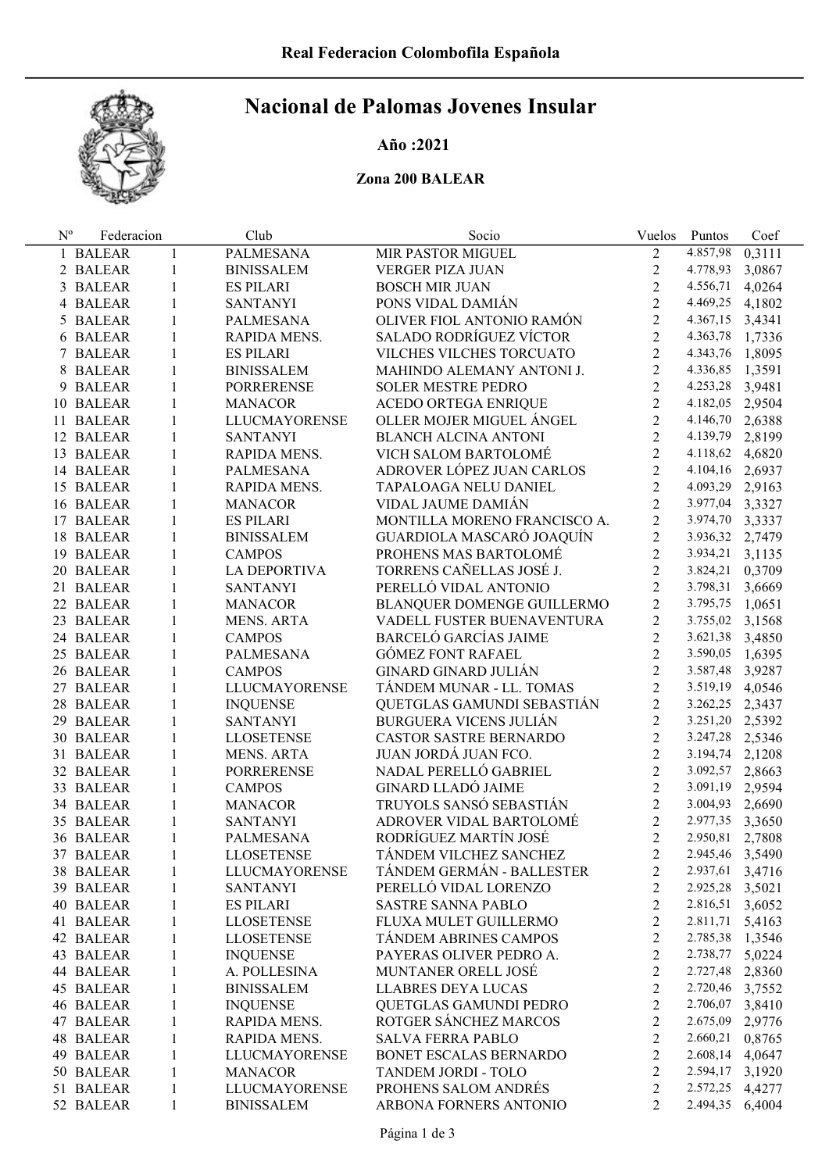

# Nacional de Palomas Jovenes Insular

## Año :2021

### Zona 200 BALEAR

| $N^{\rm o}$ | Federacion |              | Club                 | Socio                         | Vuelos         | Puntos          | Coef   |
|-------------|------------|--------------|----------------------|-------------------------------|----------------|-----------------|--------|
|             | 1 BALEAR   | $\mathbf{1}$ | <b>PALMESANA</b>     | MIR PASTOR MIGUEL             | $\overline{2}$ | 4.857,98        | 0,3111 |
|             | 2 BALEAR   | $\mathbf{1}$ | <b>BINISSALEM</b>    | VERGER PIZA JUAN              | $\overline{2}$ | 4.778,93        | 3,0867 |
|             | 3 BALEAR   | $\mathbf{1}$ | <b>ES PILARI</b>     | <b>BOSCH MIR JUAN</b>         | $\overline{2}$ | 4.556,71        | 4,0264 |
|             | 4 BALEAR   | $\mathbf{1}$ | <b>SANTANYI</b>      | PONS VIDAL DAMIÁN             | $\overline{2}$ | 4.469,25        | 4,1802 |
|             | 5 BALEAR   | $\mathbf{1}$ | PALMESANA            | OLIVER FIOL ANTONIO RAMÓN     | $\overline{2}$ | 4.367,15        | 3,4341 |
|             | 6 BALEAR   | $\mathbf{1}$ | RAPIDA MENS.         | SALADO RODRÍGUEZ VÍCTOR       | $\overline{2}$ | 4.363,78        | 1,7336 |
|             | 7 BALEAR   | $\mathbf{1}$ | <b>ES PILARI</b>     | VILCHES VILCHES TORCUATO      | $\overline{2}$ | 4.343,76        | 1,8095 |
|             | 8 BALEAR   | $\mathbf{1}$ | <b>BINISSALEM</b>    | MAHINDO ALEMANY ANTONI J.     | $\overline{2}$ | 4.336,85        | 1,3591 |
|             | 9 BALEAR   | $\mathbf{1}$ | <b>PORRERENSE</b>    | <b>SOLER MESTRE PEDRO</b>     | $\overline{2}$ | 4.253,28        | 3,9481 |
|             | 10 BALEAR  | $\mathbf{1}$ | <b>MANACOR</b>       | <b>ACEDO ORTEGA ENRIQUE</b>   | $\overline{2}$ | 4.182,05        | 2,9504 |
|             | 11 BALEAR  | $\mathbf{1}$ | <b>LLUCMAYORENSE</b> | OLLER MOJER MIGUEL ÁNGEL      | $\overline{2}$ | 4.146,70        | 2,6388 |
|             | 12 BALEAR  | $\mathbf{1}$ | <b>SANTANYI</b>      | <b>BLANCH ALCINA ANTONI</b>   | $\overline{2}$ | 4.139,79        | 2,8199 |
|             | 13 BALEAR  | 1            | RAPIDA MENS.         | VICH SALOM BARTOLOMÉ          | $\overline{2}$ | 4.118,62        | 4,6820 |
|             | 14 BALEAR  | 1            | PALMESANA            | ADROVER LÓPEZ JUAN CARLOS     | $\overline{2}$ | 4.104,16        | 2,6937 |
|             | 15 BALEAR  | 1            | RAPIDA MENS.         | TAPALOAGA NELU DANIEL         | $\overline{2}$ | 4.093,29        | 2,9163 |
|             | 16 BALEAR  | 1            | <b>MANACOR</b>       | VIDAL JAUME DAMIÁN            | $\overline{2}$ | 3.977,04        | 3,3327 |
|             | 17 BALEAR  | 1            | <b>ES PILARI</b>     | MONTILLA MORENO FRANCISCO A.  | $\overline{2}$ | 3.974,70        | 3,3337 |
|             | 18 BALEAR  | 1            | <b>BINISSALEM</b>    | GUARDIOLA MASCARÓ JOAQUÍN     | $\overline{2}$ | 3.936,32        | 2,7479 |
|             | 19 BALEAR  | 1            | <b>CAMPOS</b>        | PROHENS MAS BARTOLOMÉ         | $\overline{2}$ | 3.934,21        | 3,1135 |
|             | 20 BALEAR  | 1            | LA DEPORTIVA         | TORRENS CAÑELLAS JOSÉ J.      | $\overline{2}$ | 3.824,21        | 0,3709 |
|             | 21 BALEAR  | 1            | <b>SANTANYI</b>      | PERELLÓ VIDAL ANTONIO         | $\overline{2}$ | 3.798,31        | 3,6669 |
|             | 22 BALEAR  | 1            | <b>MANACOR</b>       | BLANQUER DOMENGE GUILLERMO    | $\overline{2}$ | 3.795,75        | 1,0651 |
|             | 23 BALEAR  | 1            | <b>MENS. ARTA</b>    | VADELL FUSTER BUENAVENTURA    | $\overline{2}$ | 3.755,02        | 3,1568 |
|             | 24 BALEAR  | 1            | <b>CAMPOS</b>        | <b>BARCELÓ GARCÍAS JAIME</b>  | $\overline{2}$ | 3.621,38        | 3,4850 |
|             | 25 BALEAR  | 1            | <b>PALMESANA</b>     | <b>GÓMEZ FONT RAFAEL</b>      | $\overline{2}$ | 3.590,05        | 1,6395 |
|             | 26 BALEAR  | 1            | <b>CAMPOS</b>        | <b>GINARD GINARD JULIÁN</b>   | $\overline{2}$ | 3.587,48        | 3,9287 |
|             | 27 BALEAR  | 1            | LLUCMAYORENSE        | TÁNDEM MUNAR - LL. TOMAS      | $\overline{2}$ | 3.519,19        | 4,0546 |
|             | 28 BALEAR  | $\mathbf{1}$ | <b>INQUENSE</b>      | QUETGLAS GAMUNDI SEBASTIÁN    | $\overline{2}$ | 3.262,25        | 2,3437 |
|             | 29 BALEAR  | $\mathbf{1}$ | <b>SANTANYI</b>      | <b>BURGUERA VICENS JULIÁN</b> | $\overline{2}$ | 3.251,20        | 2,5392 |
|             | 30 BALEAR  | $\mathbf{1}$ | <b>LLOSETENSE</b>    | CASTOR SASTRE BERNARDO        | $\overline{2}$ | 3.247,28        | 2,5346 |
|             | 31 BALEAR  | $\mathbf{1}$ | MENS. ARTA           | JUAN JORDÁ JUAN FCO.          | $\overline{2}$ | 3.194,74        | 2,1208 |
|             | 32 BALEAR  | $\mathbf{1}$ | <b>PORRERENSE</b>    | NADAL PERELLÓ GABRIEL         | $\overline{2}$ | 3.092,57        | 2,8663 |
|             | 33 BALEAR  | $\mathbf{1}$ | <b>CAMPOS</b>        | <b>GINARD LLADÓ JAIME</b>     | $\overline{2}$ | 3.091,19        | 2,9594 |
|             | 34 BALEAR  | $\mathbf{1}$ | <b>MANACOR</b>       | TRUYOLS SANSÓ SEBASTIÁN       | $\overline{2}$ | 3.004,93        | 2,6690 |
|             | 35 BALEAR  | $\mathbf{1}$ | <b>SANTANYI</b>      | ADROVER VIDAL BARTOLOMÉ       | $\overline{2}$ | 2.977,35        | 3,3650 |
|             | 36 BALEAR  | 1            | <b>PALMESANA</b>     | RODRÍGUEZ MARTÍN JOSÉ         | $\overline{2}$ | 2.950,81        | 2,7808 |
|             | 37 BALEAR  | 1            | LLOSETENSE           | TÁNDEM VILCHEZ SANCHEZ        | 2              | 2.945,46 3,5490 |        |
|             | 38 BALEAR  | 1            | LLUCMAYORENSE        | TÁNDEM GERMÁN - BALLESTER     | 2              | 2.937,61        | 3,4716 |
|             | 39 BALEAR  | 1            | SANTANYI             | PERELLÓ VIDAL LORENZO         | $\overline{2}$ | 2.925,28        | 3,5021 |
|             | 40 BALEAR  | 1            | <b>ES PILARI</b>     | <b>SASTRE SANNA PABLO</b>     | 2              | 2.816,51        | 3,6052 |
|             | 41 BALEAR  | $\mathbf{1}$ | <b>LLOSETENSE</b>    | FLUXA MULET GUILLERMO         | $\overline{2}$ | 2.811,71        | 5,4163 |
|             | 42 BALEAR  | 1            | <b>LLOSETENSE</b>    | TÁNDEM ABRINES CAMPOS         | $\overline{2}$ | 2.785,38 1,3546 |        |
|             | 43 BALEAR  | $\mathbf{1}$ | <b>INQUENSE</b>      | PAYERAS OLIVER PEDRO A.       | $\overline{2}$ | 2.738,77        | 5,0224 |
|             | 44 BALEAR  | $\mathbf{1}$ | A. POLLESINA         | MUNTANER ORELL JOSÉ           | $\overline{2}$ | 2.727,48        | 2,8360 |
|             | 45 BALEAR  | 1            | <b>BINISSALEM</b>    | <b>LLABRES DEYA LUCAS</b>     | $\overline{2}$ | 2.720,46        | 3,7552 |
|             | 46 BALEAR  | 1            | <b>INQUENSE</b>      | QUETGLAS GAMUNDI PEDRO        | $\overline{2}$ | 2.706,07        | 3,8410 |
|             | 47 BALEAR  | 1            | RAPIDA MENS.         | ROTGER SÁNCHEZ MARCOS         | $\overline{c}$ | 2.675,09        | 2,9776 |
|             | 48 BALEAR  | $\mathbf{1}$ | RAPIDA MENS.         | <b>SALVA FERRA PABLO</b>      | 2              | 2.660,21        | 0,8765 |
|             | 49 BALEAR  | 1            | <b>LLUCMAYORENSE</b> | BONET ESCALAS BERNARDO        | 2              | 2.608,14        | 4,0647 |
|             | 50 BALEAR  | 1            | <b>MANACOR</b>       | TANDEM JORDI - TOLO           | $\overline{2}$ | 2.594,17        | 3,1920 |
|             | 51 BALEAR  | 1            | <b>LLUCMAYORENSE</b> | PROHENS SALOM ANDRÉS          | 2              | 2.572,25        | 4,4277 |
|             | 52 BALEAR  | $\mathbf{1}$ | <b>BINISSALEM</b>    | ARBONA FORNERS ANTONIO        | $\overline{2}$ | 2.494,35        | 6,4004 |
|             |            |              |                      |                               |                |                 |        |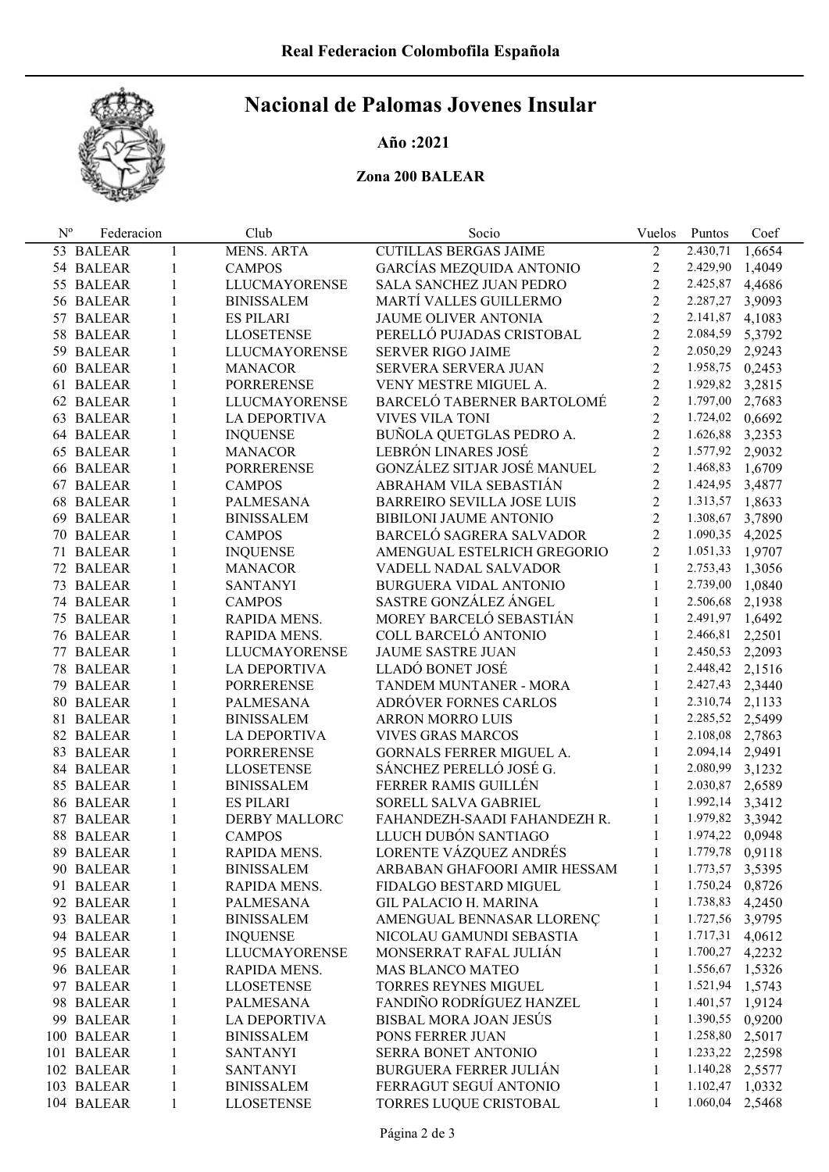

# Nacional de Palomas Jovenes Insular

#### Año :2021

### Zona 200 BALEAR

| $N^{\rm o}$ | Federacion |              | Club                 | Socio                             | Vuelos         | Puntos          | Coef   |
|-------------|------------|--------------|----------------------|-----------------------------------|----------------|-----------------|--------|
|             | 53 BALEAR  | 1            | <b>MENS. ARTA</b>    | <b>CUTILLAS BERGAS JAIME</b>      | $\overline{2}$ | 2.430,71        | 1,6654 |
|             | 54 BALEAR  | 1            | <b>CAMPOS</b>        | GARCÍAS MEZQUIDA ANTONIO          | $\overline{2}$ | 2.429,90        | 1,4049 |
|             | 55 BALEAR  | 1            | <b>LLUCMAYORENSE</b> | SALA SANCHEZ JUAN PEDRO           | $\overline{2}$ | 2.425,87        | 4,4686 |
|             | 56 BALEAR  | 1            | <b>BINISSALEM</b>    | MARTÍ VALLES GUILLERMO            | $\overline{2}$ | 2.287,27        | 3,9093 |
|             | 57 BALEAR  | $\mathbf{1}$ | <b>ES PILARI</b>     | <b>JAUME OLIVER ANTONIA</b>       | $\overline{2}$ | 2.141,87        | 4,1083 |
|             | 58 BALEAR  | 1            | <b>LLOSETENSE</b>    | PERELLÓ PUJADAS CRISTOBAL         | $\overline{2}$ | 2.084,59        | 5,3792 |
|             | 59 BALEAR  | 1            | <b>LLUCMAYORENSE</b> | <b>SERVER RIGO JAIME</b>          | $\overline{2}$ | 2.050,29        | 2,9243 |
|             | 60 BALEAR  | 1            | <b>MANACOR</b>       | SERVERA SERVERA JUAN              | $\overline{2}$ | 1.958,75        | 0,2453 |
|             | 61 BALEAR  | $\mathbf{1}$ | <b>PORRERENSE</b>    | VENY MESTRE MIGUEL A.             | $\overline{2}$ | 1.929,82        | 3,2815 |
|             | 62 BALEAR  | 1            | <b>LLUCMAYORENSE</b> | BARCELÓ TABERNER BARTOLOMÉ        | $\overline{2}$ | 1.797,00        | 2,7683 |
|             | 63 BALEAR  | 1            | <b>LA DEPORTIVA</b>  | <b>VIVES VILA TONI</b>            | $\overline{2}$ | 1.724,02        | 0,6692 |
|             | 64 BALEAR  | 1            | <b>INQUENSE</b>      | BUÑOLA QUETGLAS PEDRO A.          | $\overline{2}$ | 1.626,88        | 3,2353 |
|             | 65 BALEAR  | 1            | <b>MANACOR</b>       | LEBRÓN LINARES JOSÉ               | $\overline{2}$ | 1.577,92        | 2,9032 |
|             | 66 BALEAR  | $\mathbf{1}$ | <b>PORRERENSE</b>    | GONZÁLEZ SITJAR JOSÉ MANUEL       | $\overline{2}$ | 1.468,83        | 1,6709 |
|             | 67 BALEAR  | 1            | <b>CAMPOS</b>        | ABRAHAM VILA SEBASTIÁN            | $\overline{2}$ | 1.424,95        | 3,4877 |
|             | 68 BALEAR  | 1            | <b>PALMESANA</b>     | <b>BARREIRO SEVILLA JOSE LUIS</b> | $\overline{2}$ | 1.313,57        | 1,8633 |
|             | 69 BALEAR  | 1            | <b>BINISSALEM</b>    | BIBILONI JAUME ANTONIO            | $\overline{2}$ | 1.308,67        | 3,7890 |
|             | 70 BALEAR  | 1            | <b>CAMPOS</b>        | BARCELÓ SAGRERA SALVADOR          | $\overline{2}$ | 1.090,35        | 4,2025 |
|             | 71 BALEAR  | 1            | <b>INQUENSE</b>      | AMENGUAL ESTELRICH GREGORIO       | $\overline{2}$ | 1.051,33        | 1,9707 |
|             | 72 BALEAR  | 1            | <b>MANACOR</b>       | VADELL NADAL SALVADOR             | $\mathbf{1}$   | 2.753,43        | 1,3056 |
|             | 73 BALEAR  | 1            | <b>SANTANYI</b>      | <b>BURGUERA VIDAL ANTONIO</b>     | $\mathbf{1}$   | 2.739,00        | 1,0840 |
|             | 74 BALEAR  | 1            | <b>CAMPOS</b>        | SASTRE GONZÁLEZ ÁNGEL             | $\mathbf{1}$   | 2.506,68        | 2,1938 |
|             | 75 BALEAR  | 1            | RAPIDA MENS.         | MOREY BARCELÓ SEBASTIÁN           | $\mathbf{1}$   | 2.491,97        | 1,6492 |
|             | 76 BALEAR  | 1            | RAPIDA MENS.         | COLL BARCELÓ ANTONIO              | $\mathbf{1}$   | 2.466,81        | 2,2501 |
|             | 77 BALEAR  | 1            | LLUCMAYORENSE        | <b>JAUME SASTRE JUAN</b>          | $\mathbf{1}$   | 2.450,53        | 2,2093 |
|             | 78 BALEAR  | 1            | LA DEPORTIVA         | LLADÓ BONET JOSÉ                  | $\mathbf{1}$   | 2.448,42        | 2,1516 |
|             | 79 BALEAR  | 1            | <b>PORRERENSE</b>    | TANDEM MUNTANER - MORA            | $\mathbf{1}$   | 2.427,43        | 2,3440 |
|             | 80 BALEAR  | 1            | <b>PALMESANA</b>     | ADRÓVER FORNES CARLOS             | $\mathbf{1}$   | 2.310,74        | 2,1133 |
|             | 81 BALEAR  | 1            | <b>BINISSALEM</b>    | <b>ARRON MORRO LUIS</b>           | $\mathbf{1}$   | 2.285,52 2,5499 |        |
|             | 82 BALEAR  | 1            | LA DEPORTIVA         | <b>VIVES GRAS MARCOS</b>          | $\mathbf{1}$   | 2.108,08        | 2,7863 |
|             | 83 BALEAR  | 1            | <b>PORRERENSE</b>    | GORNALS FERRER MIGUEL A.          | $\mathbf{1}$   | 2.094,14        | 2,9491 |
|             | 84 BALEAR  | 1            | <b>LLOSETENSE</b>    | SÁNCHEZ PERELLÓ JOSÉ G.           | 1              | 2.080,99        | 3,1232 |
|             | 85 BALEAR  | 1            | <b>BINISSALEM</b>    | FERRER RAMIS GUILLÉN              | $\mathbf{1}$   | 2.030,87        | 2,6589 |
|             | 86 BALEAR  | 1            | <b>ES PILARI</b>     | SORELL SALVA GABRIEL              | $\mathbf{1}$   | 1.992,14 3,3412 |        |
|             | 87 BALEAR  | 1            | <b>DERBY MALLORC</b> | FAHANDEZH-SAADI FAHANDEZH R.      | 1              | 1.979,82 3,3942 |        |
|             | 88 BALEAR  | 1            | <b>CAMPOS</b>        | LLUCH DUBÓN SANTIAGO              | 1              | 1.974,22 0,0948 |        |
|             | 89 BALEAR  | 1            | RAPIDA MENS.         | LORENTE VÁZQUEZ ANDRÉS            | $\mathbf{1}$   | 1.779,78 0,9118 |        |
|             | 90 BALEAR  | 1            | <b>BINISSALEM</b>    | ARBABAN GHAFOORI AMIR HESSAM      | 1              | 1.773,57 3,5395 |        |
|             | 91 BALEAR  | 1            | RAPIDA MENS.         | FIDALGO BESTARD MIGUEL            | 1              | 1.750,24 0,8726 |        |
|             | 92 BALEAR  | 1            | <b>PALMESANA</b>     | <b>GIL PALACIO H. MARINA</b>      | 1              | 1.738,83 4,2450 |        |
|             | 93 BALEAR  | 1            | <b>BINISSALEM</b>    | AMENGUAL BENNASAR LLORENÇ         | 1              | 1.727,56 3,9795 |        |
|             | 94 BALEAR  | $\mathbf{1}$ | <b>INQUENSE</b>      | NICOLAU GAMUNDI SEBASTIA          | 1              | 1.717,31        | 4,0612 |
|             | 95 BALEAR  | $\mathbf{1}$ | LLUCMAYORENSE        | MONSERRAT RAFAL JULIÁN            | 1              | 1.700,27        | 4,2232 |
|             | 96 BALEAR  | $\mathbf{1}$ | RAPIDA MENS.         | <b>MAS BLANCO MATEO</b>           | 1              | 1.556,67 1,5326 |        |
|             | 97 BALEAR  | $\mathbf{1}$ | <b>LLOSETENSE</b>    | TORRES REYNES MIGUEL              | 1              | 1.521,94 1,5743 |        |
|             | 98 BALEAR  | $\mathbf{1}$ | <b>PALMESANA</b>     | FANDIÑO RODRÍGUEZ HANZEL          | 1              | 1.401,57 1,9124 |        |
|             | 99 BALEAR  | 1            | <b>LA DEPORTIVA</b>  | <b>BISBAL MORA JOAN JESÚS</b>     | 1              | 1.390,55        | 0,9200 |
|             | 100 BALEAR | $\mathbf{1}$ | <b>BINISSALEM</b>    | PONS FERRER JUAN                  | 1              | 1.258,80        | 2,5017 |
|             | 101 BALEAR | $\mathbf{1}$ | <b>SANTANYI</b>      | SERRA BONET ANTONIO               | 1              | 1.233,22        | 2,2598 |
|             | 102 BALEAR | $\mathbf{1}$ | SANTANYI             | <b>BURGUERA FERRER JULIÁN</b>     | 1              | 1.140,28        | 2,5577 |
|             | 103 BALEAR | $\mathbf{1}$ | <b>BINISSALEM</b>    | FERRAGUT SEGUÍ ANTONIO            | 1              | 1.102,47        | 1,0332 |
|             | 104 BALEAR | 1            | <b>LLOSETENSE</b>    | TORRES LUQUE CRISTOBAL            | 1              | 1.060,04        | 2,5468 |
|             |            |              |                      |                                   |                |                 |        |